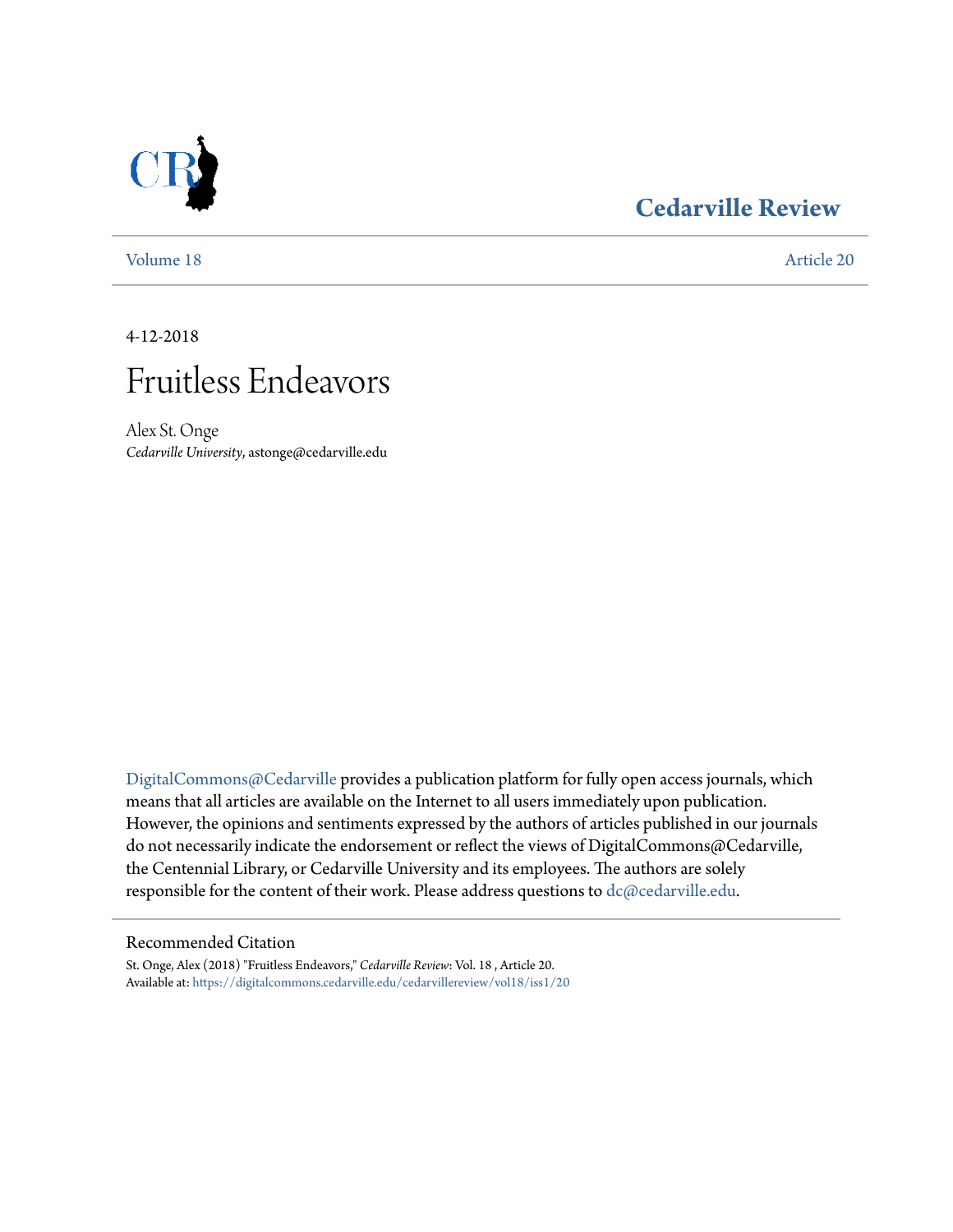# **[Cedarville Review](https://digitalcommons.cedarville.edu/cedarvillereview?utm_source=digitalcommons.cedarville.edu%2Fcedarvillereview%2Fvol18%2Fiss1%2F20&utm_medium=PDF&utm_campaign=PDFCoverPages)**

[Volume 18](https://digitalcommons.cedarville.edu/cedarvillereview/vol18?utm_source=digitalcommons.cedarville.edu%2Fcedarvillereview%2Fvol18%2Fiss1%2F20&utm_medium=PDF&utm_campaign=PDFCoverPages) [Article 20](https://digitalcommons.cedarville.edu/cedarvillereview/vol18/iss1/20?utm_source=digitalcommons.cedarville.edu%2Fcedarvillereview%2Fvol18%2Fiss1%2F20&utm_medium=PDF&utm_campaign=PDFCoverPages)

4-12-2018



Alex St. Onge *Cedarville University*, astonge@cedarville.edu

[DigitalCommons@Cedarville](http://digitalcommons.cedarville.edu/) provides a publication platform for fully open access journals, which means that all articles are available on the Internet to all users immediately upon publication. However, the opinions and sentiments expressed by the authors of articles published in our journals do not necessarily indicate the endorsement or reflect the views of DigitalCommons@Cedarville, the Centennial Library, or Cedarville University and its employees. The authors are solely responsible for the content of their work. Please address questions to [dc@cedarville.edu](mailto:dc@cedarville.edu).

### Recommended Citation

St. Onge, Alex (2018) "Fruitless Endeavors," *Cedarville Review*: Vol. 18 , Article 20. Available at: [https://digitalcommons.cedarville.edu/cedarvillereview/vol18/iss1/20](https://digitalcommons.cedarville.edu/cedarvillereview/vol18/iss1/20?utm_source=digitalcommons.cedarville.edu%2Fcedarvillereview%2Fvol18%2Fiss1%2F20&utm_medium=PDF&utm_campaign=PDFCoverPages)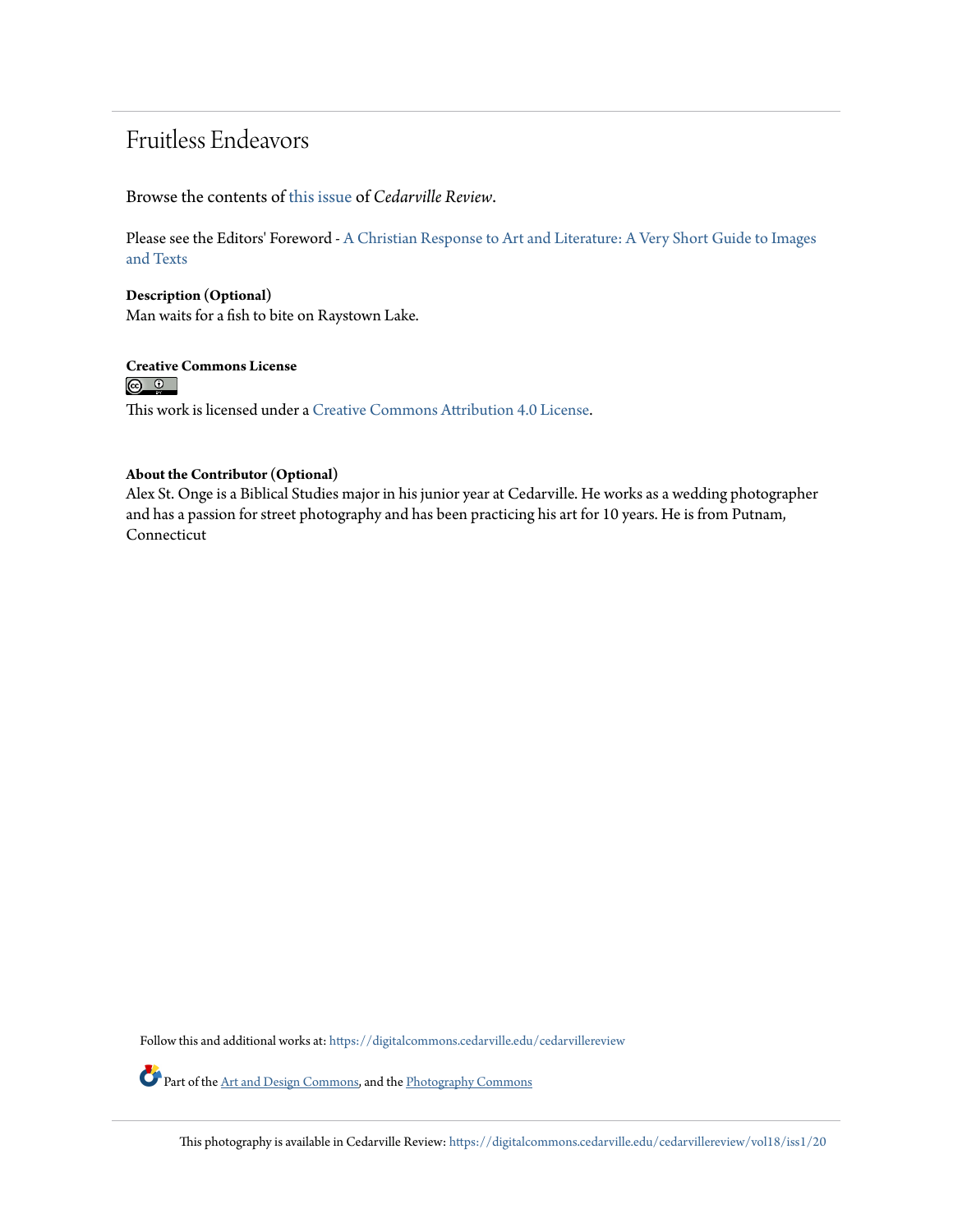## Fruitless Endeavors

Browse the contents of [this issue](https://digitalcommons.cedarville.edu/cedarvillereview/vol18/iss1) of *Cedarville Review*.

Please see the Editors' Foreword - [A Christian Response to Art and Literature: A Very Short Guide to Images](http://digitalcommons.cedarville.edu/cedarvillereview/vol18/iss1/1/) [and Texts](http://digitalcommons.cedarville.edu/cedarvillereview/vol18/iss1/1/)

**Description (Optional)** Man waits for a fish to bite on Raystown Lake.

**Creative Commons License**<br> **<b>@** <u>**@**</u>

This work is licensed under a [Creative Commons Attribution 4.0 License.](http://creativecommons.org/licenses/by/4.0/)

### **About the Contributor (Optional)**

Alex St. Onge is a Biblical Studies major in his junior year at Cedarville. He works as a wedding photographer and has a passion for street photography and has been practicing his art for 10 years. He is from Putnam, Connecticut

Follow this and additional works at: [https://digitalcommons.cedarville.edu/cedarvillereview](https://digitalcommons.cedarville.edu/cedarvillereview?utm_source=digitalcommons.cedarville.edu%2Fcedarvillereview%2Fvol18%2Fiss1%2F20&utm_medium=PDF&utm_campaign=PDFCoverPages)

Part of the [Art and Design Commons,](http://network.bepress.com/hgg/discipline/1049?utm_source=digitalcommons.cedarville.edu%2Fcedarvillereview%2Fvol18%2Fiss1%2F20&utm_medium=PDF&utm_campaign=PDFCoverPages) and the [Photography Commons](http://network.bepress.com/hgg/discipline/1142?utm_source=digitalcommons.cedarville.edu%2Fcedarvillereview%2Fvol18%2Fiss1%2F20&utm_medium=PDF&utm_campaign=PDFCoverPages)